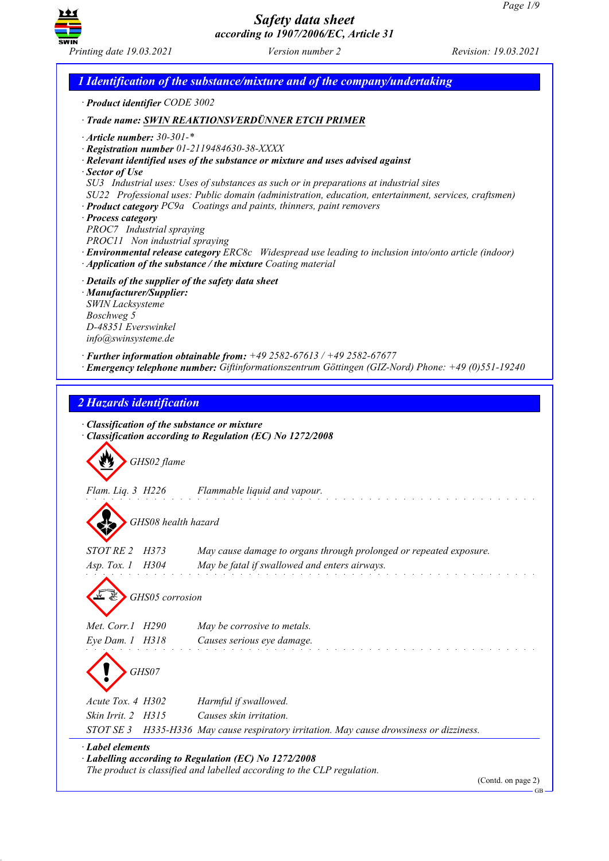

*1 Identification of the substance/mixture and of the company/undertaking · Product identifier CODE 3002 · Trade name: SWIN REAKTIONSVERDÜNNER ETCH PRIMER · Article number: 30-301-\* · Registration number 01-2119484630-38-XXXX · Relevant identified uses of the substance or mixture and uses advised against · Sector of Use SU3 Industrial uses: Uses of substances as such or in preparations at industrial sites SU22 Professional uses: Public domain (administration, education, entertainment, services, craftsmen) · Product category PC9a Coatings and paints, thinners, paint removers · Process category PROC7 Industrial spraying PROC11 Non industrial spraying · Environmental release category ERC8c Widespread use leading to inclusion into/onto article (indoor) · Application of the substance / the mixture Coating material · Details of the supplier of the safety data sheet · Manufacturer/Supplier: SWIN Lacksysteme Boschweg 5 D-48351 Everswinkel info@swinsysteme.de · Further information obtainable from: +49 2582-67613 / +49 2582-67677 · Emergency telephone number: Giftinformationszentrum Göttingen (GIZ-Nord) Phone: +49 (0)551-19240 2 Hazards identification · Classification of the substance or mixture · Classification according to Regulation (EC) No 1272/2008 GHS02 flame Flam. Liq. 3 H226 Flammable liquid and vapour. GHS08 health hazard STOT RE 2 H373 May cause damage to organs through prolonged or repeated exposure. Asp. Tox. 1 H304 May be fatal if swallowed and enters airways. GHS05 corrosion Met. Corr.1 H290 May be corrosive to metals. Eye Dam. 1 H318 Causes serious eye damage. GHS07 Acute Tox. 4 H302 Harmful if swallowed. Skin Irrit. 2 H315 Causes skin irritation. STOT SE 3 H335-H336 May cause respiratory irritation. May cause drowsiness or dizziness. · Label elements · Labelling according to Regulation (EC) No 1272/2008 The product is classified and labelled according to the CLP regulation.*

(Contd. on page 2) GB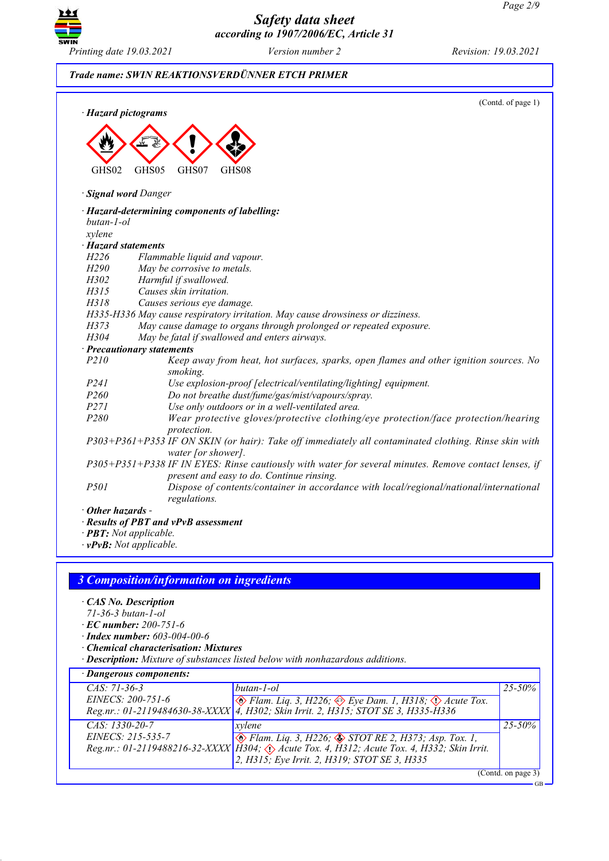GB



*Safety data sheet according to 1907/2006/EC, Article 31*

### *Trade name: SWIN REAKTIONSVERDÜNNER ETCH PRIMER*

(Contd. of page 1) *· Hazard pictograms* E GHS02 E GHS05  $\langle \cdot \rangle$ GHS<sub>07</sub> E GHS<sub>08</sub> *· Signal word Danger · Hazard-determining components of labelling: butan-1-ol xylene · Hazard statements H226 Flammable liquid and vapour. H290 May be corrosive to metals.*<br>*H302 Harmful if swallowed. H302 Harmful if swallowed. H315 Causes skin irritation. H318 Causes serious eye damage. H335-H336 May cause respiratory irritation. May cause drowsiness or dizziness. H373 May cause damage to organs through prolonged or repeated exposure. H304 May be fatal if swallowed and enters airways. · Precautionary statements P210 Keep away from heat, hot surfaces, sparks, open flames and other ignition sources. No smoking. P241 Use explosion-proof [electrical/ventilating/lighting] equipment. P260 Do not breathe dust/fume/gas/mist/vapours/spray. P271 Use only outdoors or in a well-ventilated area. P280 Wear protective gloves/protective clothing/eye protection/face protection/hearing protection. P303+P361+P353 IF ON SKIN (or hair): Take off immediately all contaminated clothing. Rinse skin with water [or shower]. P305+P351+P338 IF IN EYES: Rinse cautiously with water for several minutes. Remove contact lenses, if present and easy to do. Continue rinsing. P501 Dispose of contents/container in accordance with local/regional/national/international regulations. · Other hazards - · Results of PBT and vPvB assessment · PBT: Not applicable.*

*· vPvB: Not applicable.*

#### *3 Composition/information on ingredients*

- *· CAS No. Description*
- *71-36-3 butan-1-ol*
- *· EC number: 200-751-6*
- *· Index number: 603-004-00-6*
- *· Chemical characterisation: Mixtures*
- *· Description: Mixture of substances listed below with nonhazardous additions.*

| · Dangerous components: |                                                                                                                          |             |  |  |
|-------------------------|--------------------------------------------------------------------------------------------------------------------------|-------------|--|--|
| $CAS: 71-36-3$          | butan-1-ol                                                                                                               | $25 - 50\%$ |  |  |
| EINECS: 200-751-6       | EINECS: 200-751-6<br>Reg.nr.: 01-2119484630-38-XXXX 4, H302; Skin Irrit. 2, H315; STOT SE 3, H335-H336                   |             |  |  |
|                         |                                                                                                                          |             |  |  |
| $CAS: 1330-20-7$        | xvlene                                                                                                                   | $25 - 50\%$ |  |  |
| EINECS: 215-535-7       |                                                                                                                          |             |  |  |
|                         | EINECS: 215-535-7<br>Reg.nr.: 01-2119488216-32-XXXX H304; $\Diamond$ Acute Tox. 4, H312; Acute Tox. 4, H332; Skin Irrit. |             |  |  |
|                         | 2, H315; Eye Irrit. 2, H319; STOT SE 3, H335                                                                             |             |  |  |
| (Contd. on page 3)      |                                                                                                                          |             |  |  |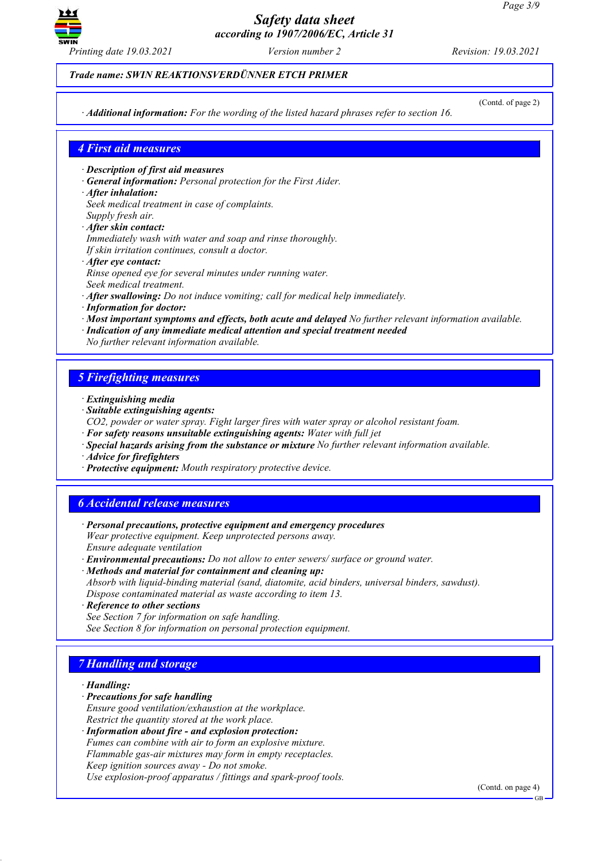

#### *Trade name: SWIN REAKTIONSVERDÜNNER ETCH PRIMER*

*· Additional information: For the wording of the listed hazard phrases refer to section 16.*

(Contd. of page 2)

### *4 First aid measures*

- *· Description of first aid measures*
- *· General information: Personal protection for the First Aider.*
- *· After inhalation:*
- *Seek medical treatment in case of complaints.*
- *Supply fresh air. · After skin contact:*
- *Immediately wash with water and soap and rinse thoroughly.*
- *If skin irritation continues, consult a doctor.*
- *· After eye contact:*
- *Rinse opened eye for several minutes under running water.*
- *Seek medical treatment.*
- *· After swallowing: Do not induce vomiting; call for medical help immediately.*
- *· Information for doctor:*
- *· Most important symptoms and effects, both acute and delayed No further relevant information available.*
- *· Indication of any immediate medical attention and special treatment needed*
- *No further relevant information available.*

### *5 Firefighting measures*

- *· Extinguishing media*
- *· Suitable extinguishing agents:*
- *CO2, powder or water spray. Fight larger fires with water spray or alcohol resistant foam.*
- *· For safety reasons unsuitable extinguishing agents: Water with full jet*
- *· Special hazards arising from the substance or mixture No further relevant information available.*
- *· Advice for firefighters*
- *· Protective equipment: Mouth respiratory protective device.*

### *6 Accidental release measures*

- *· Personal precautions, protective equipment and emergency procedures Wear protective equipment. Keep unprotected persons away. Ensure adequate ventilation*
- *· Environmental precautions: Do not allow to enter sewers/ surface or ground water.*
- *· Methods and material for containment and cleaning up: Absorb with liquid-binding material (sand, diatomite, acid binders, universal binders, sawdust). Dispose contaminated material as waste according to item 13.*
- *· Reference to other sections*
- *See Section 7 for information on safe handling. See Section 8 for information on personal protection equipment.*

### *7 Handling and storage*

#### *· Handling:*

- *· Precautions for safe handling*
- *Ensure good ventilation/exhaustion at the workplace. Restrict the quantity stored at the work place.*
- *· Information about fire - and explosion protection:*
- *Fumes can combine with air to form an explosive mixture. Flammable gas-air mixtures may form in empty receptacles.*
- *Keep ignition sources away - Do not smoke.*
- *Use explosion-proof apparatus / fittings and spark-proof tools.*

(Contd. on page 4)

GB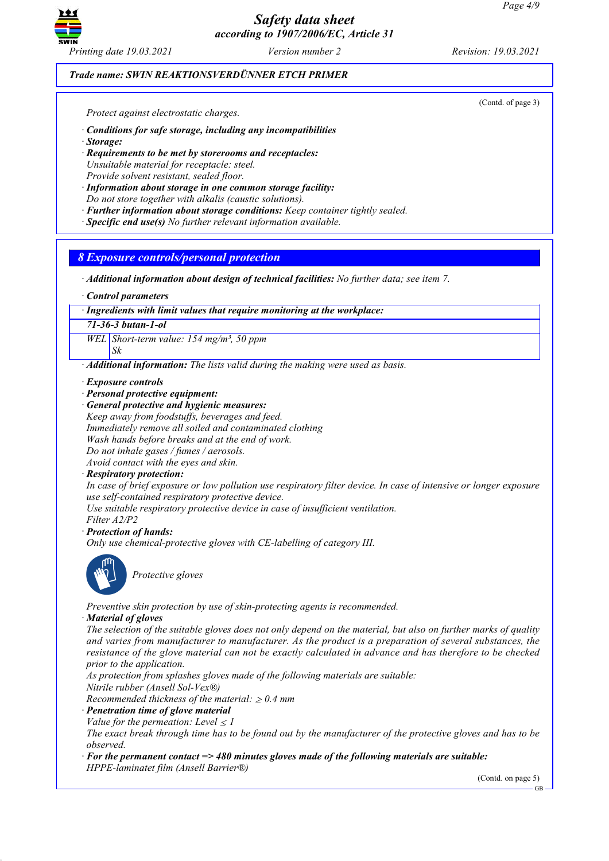

### *Trade name: SWIN REAKTIONSVERDÜNNER ETCH PRIMER*

(Contd. of page 3)

*Protect against electrostatic charges.*

- *· Conditions for safe storage, including any incompatibilities*
- *· Storage:*
- *· Requirements to be met by storerooms and receptacles: Unsuitable material for receptacle: steel. Provide solvent resistant, sealed floor.*
- *· Information about storage in one common storage facility:*
- *Do not store together with alkalis (caustic solutions).*
- *· Further information about storage conditions: Keep container tightly sealed.*
- *· Specific end use(s) No further relevant information available.*

*8 Exposure controls/personal protection*

- *· Additional information about design of technical facilities: No further data; see item 7.*
- *· Control parameters*

*· Ingredients with limit values that require monitoring at the workplace:*

*71-36-3 butan-1-ol*

*Sk*

*WEL Short-term value: 154 mg/m³, 50 ppm*

*· Additional information: The lists valid during the making were used as basis.*

*· Exposure controls*

- *· Personal protective equipment:*
- *· General protective and hygienic measures:*

*Keep away from foodstuffs, beverages and feed.*

*Immediately remove all soiled and contaminated clothing*

*Wash hands before breaks and at the end of work.*

*Do not inhale gases / fumes / aerosols. Avoid contact with the eyes and skin.*

*· Respiratory protection:*

In case of brief exposure or low pollution use respiratory filter device. In case of intensive or longer exposure *use self-contained respiratory protective device.*

*Use suitable respiratory protective device in case of insufficient ventilation.*

*Filter A2/P2*

*· Protection of hands:*

*Only use chemical-protective gloves with CE-labelling of category III.*



*Protective gloves*

*Preventive skin protection by use of skin-protecting agents is recommended.*

*· Material of gloves*

The selection of the suitable gloves does not only depend on the material, but also on further marks of quality *and varies from manufacturer to manufacturer. As the product is a preparation of several substances, the* resistance of the glove material can not be exactly calculated in advance and has therefore to be checked *prior to the application.*

*As protection from splashes gloves made of the following materials are suitable:*

*Nitrile rubber (Ansell Sol-Vex®)*

*Recommended thickness of the material:*  $\geq 0.4$  *mm* 

*· Penetration time of glove material*

*Value* for the permeation: Level  $\leq$  *l* 

The exact break through time has to be found out by the manufacturer of the protective gloves and has to be *observed.*

*· For the permanent contact => 480 minutes gloves made of the following materials are suitable: HPPE-laminatet film (Ansell Barrier®)*

(Contd. on page 5)

GB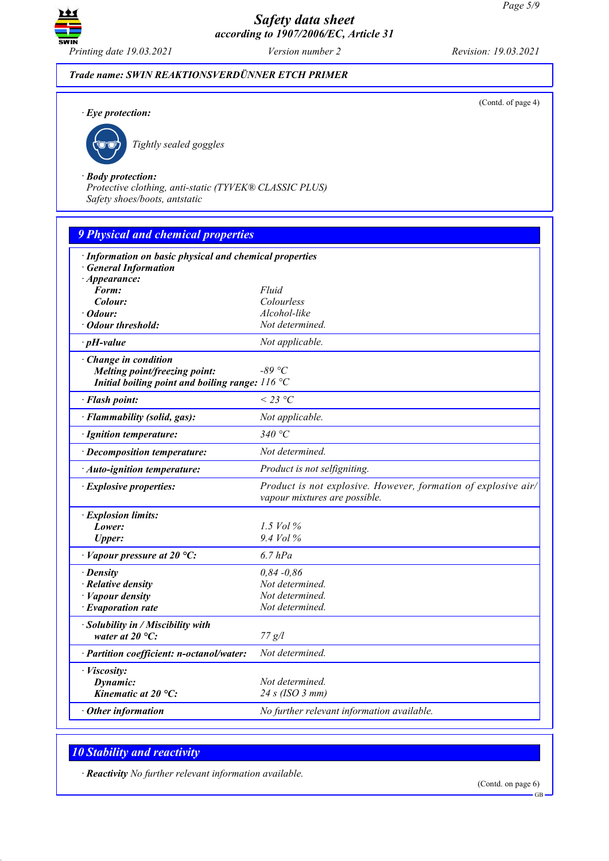

(Contd. of page 4)

### *Trade name: SWIN REAKTIONSVERDÜNNER ETCH PRIMER*

*· Eye protection:*



*Tightly sealed goggles*

#### *· Body protection:*

*Protective clothing, anti-static (TYVEK® CLASSIC PLUS) Safety shoes/boots, antstatic*

| <b>9 Physical and chemical properties</b>               |                                                                                                 |  |  |  |
|---------------------------------------------------------|-------------------------------------------------------------------------------------------------|--|--|--|
| · Information on basic physical and chemical properties |                                                                                                 |  |  |  |
| <b>General Information</b>                              |                                                                                                 |  |  |  |
| $\cdot$ Appearance:                                     |                                                                                                 |  |  |  |
| Form:                                                   | Fluid                                                                                           |  |  |  |
| Colour:                                                 | Colourless                                                                                      |  |  |  |
| Odour:                                                  | Alcohol-like                                                                                    |  |  |  |
| · Odour threshold:                                      | Not determined.                                                                                 |  |  |  |
| $\cdot$ pH-value                                        | Not applicable.                                                                                 |  |  |  |
| · Change in condition                                   |                                                                                                 |  |  |  |
| Melting point/freezing point:                           | $-89$ °C                                                                                        |  |  |  |
| Initial boiling point and boiling range: $116 °C$       |                                                                                                 |  |  |  |
| · Flash point:                                          | $<$ 23 °C                                                                                       |  |  |  |
| · Flammability (solid, gas):                            | Not applicable.                                                                                 |  |  |  |
| · Ignition temperature:                                 | 340 $\degree$ C                                                                                 |  |  |  |
| · Decomposition temperature:                            | Not determined.                                                                                 |  |  |  |
| · Auto-ignition temperature:                            | Product is not selfigniting.                                                                    |  |  |  |
| · Explosive properties:                                 | Product is not explosive. However, formation of explosive air/<br>vapour mixtures are possible. |  |  |  |
| · Explosion limits:                                     |                                                                                                 |  |  |  |
| Lower:                                                  | 1.5 Vol $\%$                                                                                    |  |  |  |
| <b>Upper:</b>                                           | $9.4$ Vol $\%$                                                                                  |  |  |  |
| $\cdot$ Vapour pressure at 20 °C:                       | $6.7$ $hPa$                                                                                     |  |  |  |
| $\cdot$ Density                                         | $0,84 - 0,86$                                                                                   |  |  |  |
| $\cdot$ Relative density                                | Not determined.                                                                                 |  |  |  |
| · Vapour density                                        | Not determined.                                                                                 |  |  |  |
| $\cdot$ Evaporation rate                                | Not determined.                                                                                 |  |  |  |
| · Solubility in / Miscibility with                      |                                                                                                 |  |  |  |
| water at $20^{\circ}$ C:                                | 77 g/l                                                                                          |  |  |  |
| · Partition coefficient: n-octanol/water:               | Not determined.                                                                                 |  |  |  |
| · Viscosity:                                            |                                                                                                 |  |  |  |
| Dynamic:                                                | Not determined.                                                                                 |  |  |  |
| Kinematic at 20 °C:                                     | 24 s (ISO 3 mm)                                                                                 |  |  |  |
| $\cdot$ Other information                               | No further relevant information available.                                                      |  |  |  |

## *10 Stability and reactivity*

*· Reactivity No further relevant information available.*

(Contd. on page 6)

GB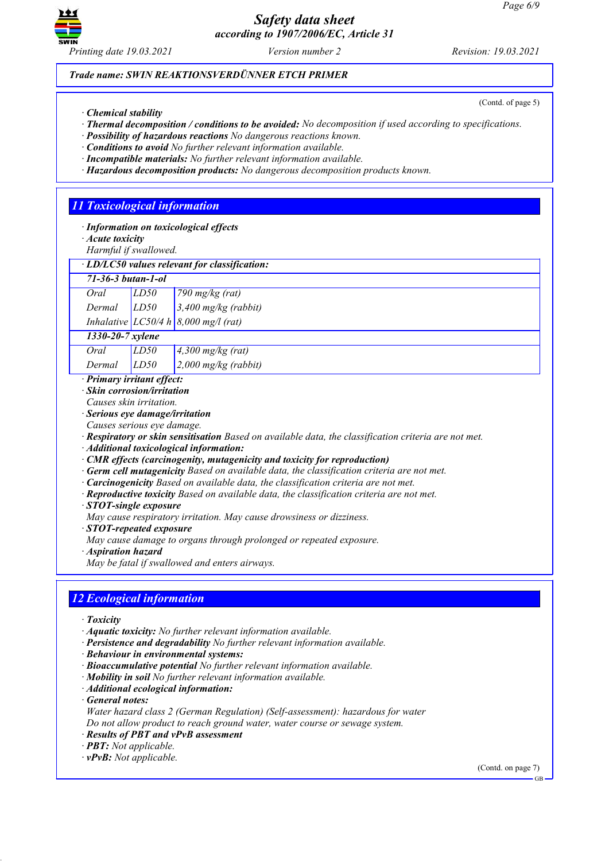

*Printing date 19.03.2021 Version number 2 Revision: 19.03.2021*

### *Trade name: SWIN REAKTIONSVERDÜNNER ETCH PRIMER*

(Contd. of page 5)

- *· Chemical stability*
- *· Thermal decomposition / conditions to be avoided: No decomposition if used according to specifications.*
- *· Possibility of hazardous reactions No dangerous reactions known.*
- *· Conditions to avoid No further relevant information available.*
- *· Incompatible materials: No further relevant information available. · Hazardous decomposition products: No dangerous decomposition products known.*
- 

## *11 Toxicological information*

- *· Information on toxicological effects*
- *· Acute toxicity*

*Harmful if swallowed.*

|                               |        | $\cdot$ LD/LC50 values relevant for classification: |                                               |  |
|-------------------------------|--------|-----------------------------------------------------|-----------------------------------------------|--|
| $71 - 36 - 3 but an - 1 - ol$ |        |                                                     |                                               |  |
|                               | Oral   | LD50                                                | 790 mg/kg (rat)                               |  |
|                               | Dermal | LD50                                                | $3,400$ mg/kg (rabbit)                        |  |
|                               |        |                                                     | Inhalative $LC50/4 h   8,000 mg/l$ (rat)      |  |
| 1330-20-7 xylene              |        |                                                     |                                               |  |
|                               | Oral   | LD50                                                | $4,300$ mg/kg (rat)                           |  |
|                               | Dermal | LD50                                                | $\frac{2,000 \text{ mg/kg}}{(\text{rabbit})}$ |  |

*· Primary irritant effect:*

- *· Skin corrosion/irritation*
- *Causes skin irritation.*
- 
- *· Serious eye damage/irritation Causes serious eye damage.*

*· Respiratory or skin sensitisation Based on available data, the classification criteria are not met.*

*· Additional toxicological information:*

*· CMR effects (carcinogenity, mutagenicity and toxicity for reproduction)*

- *· Germ cell mutagenicity Based on available data, the classification criteria are not met.*
- *· Carcinogenicity Based on available data, the classification criteria are not met.*
- *· Reproductive toxicity Based on available data, the classification criteria are not met.*
- *· STOT-single exposure*
- *May cause respiratory irritation. May cause drowsiness or dizziness.*
- *· STOT-repeated exposure*
- *May cause damage to organs through prolonged or repeated exposure.*
- *· Aspiration hazard*

*May be fatal if swallowed and enters airways.*

### *12 Ecological information*

- *· Toxicity*
- *· Aquatic toxicity: No further relevant information available.*
- *· Persistence and degradability No further relevant information available.*
- *· Behaviour in environmental systems:*
- *· Bioaccumulative potential No further relevant information available.*
- *· Mobility in soil No further relevant information available.*
- *· Additional ecological information:*
- *· General notes:*
- *Water hazard class 2 (German Regulation) (Self-assessment): hazardous for water Do not allow product to reach ground water, water course or sewage system.*
- *· Results of PBT and vPvB assessment*
- *· PBT: Not applicable.*
- *· vPvB: Not applicable.*

(Contd. on page 7)

GB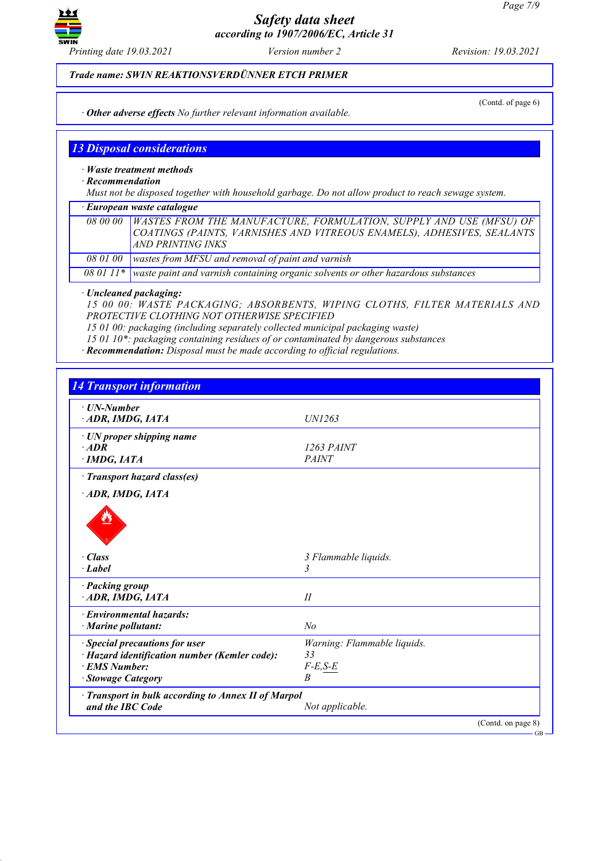

*Printing date 19.03.2021 Version number 2 Revision: 19.03.2021*

*Trade name: SWIN REAKTIONSVERDÜNNER ETCH PRIMER*

(Contd. of page 6)

*· Other adverse effects No further relevant information available.*

### *13 Disposal considerations*

*· Waste treatment methods*

*· Recommendation*

*Must not be disposed together with household garbage. Do not allow product to reach sewage system.*

*· European waste catalogue*

*08 00 00 WASTES FROM THE MANUFACTURE, FORMULATION, SUPPLY AND USE (MFSU) OF COATINGS (PAINTS, VARNISHES AND VITREOUS ENAMELS), ADHESIVES, SEALANTS AND PRINTING INKS*

*08 01 00 wastes from MFSU and removal of paint and varnish*

*08 01 11\* waste paint and varnish containing organic solvents or other hazardous substances*

*· Uncleaned packaging:*

*15 00 00: WASTE PACKAGING; ABSORBENTS, WIPING CLOTHS, FILTER MATERIALS AND PROTECTIVE CLOTHING NOT OTHERWISE SPECIFIED*

*15 01 00: packaging (including separately collected municipal packaging waste)*

*15 01 10\*: packaging containing residues of or contaminated by dangerous substances*

*· Recommendation: Disposal must be made according to official regulations.*

| $\cdot$ UN-Number                                   |                             |  |
|-----------------------------------------------------|-----------------------------|--|
| ADR, IMDG, IATA                                     | <i>UN1263</i>               |  |
| · UN proper shipping name                           |                             |  |
| $·$ <i>ADR</i>                                      | 1263 PAINT                  |  |
| $\cdot$ IMDG, IATA                                  | <b>PAINT</b>                |  |
| · Transport hazard class(es)                        |                             |  |
| ADR, IMDG, IATA                                     |                             |  |
|                                                     |                             |  |
| $\cdot$ Class                                       | 3 Flammable liquids.        |  |
| $\cdot$ Label                                       | 3                           |  |
| · Packing group                                     |                             |  |
| ADR, IMDG, IATA                                     | II                          |  |
| · Environmental hazards:                            |                             |  |
| · Marine pollutant:                                 | N <sub>o</sub>              |  |
| · Special precautions for user                      | Warning: Flammable liquids. |  |
| · Hazard identification number (Kemler code):       | 33                          |  |
| · EMS Number:                                       | $F-E, S-E$                  |  |
| <b>Stowage Category</b>                             | $\overline{B}$              |  |
| · Transport in bulk according to Annex II of Marpol |                             |  |
| and the IBC Code                                    | Not applicable.             |  |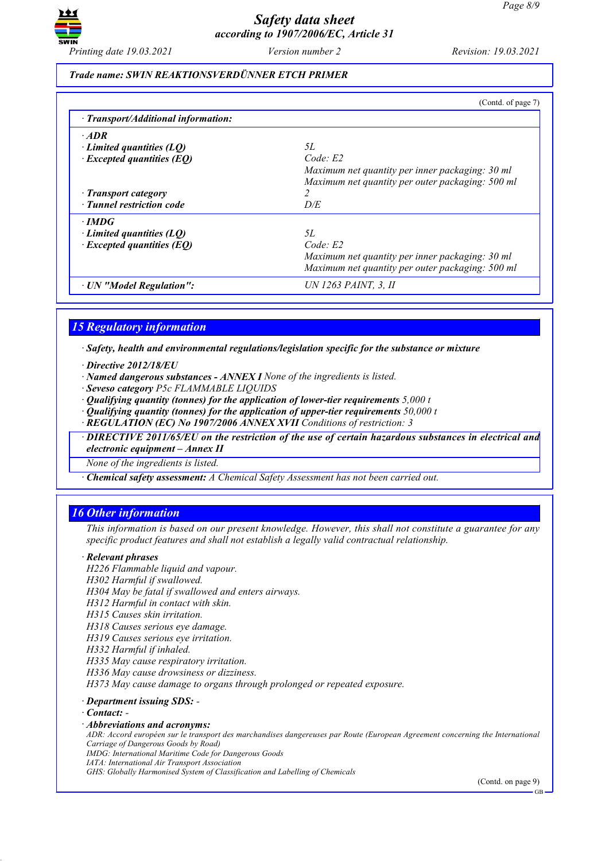

#### *Trade name: SWIN REAKTIONSVERDÜNNER ETCH PRIMER*

|                                           | (Contd. of page 7)                               |
|-------------------------------------------|--------------------------------------------------|
| $\cdot$ Transport/Additional information: |                                                  |
| $\cdot$ ADR                               |                                                  |
| Limited quantities $(LQ)$                 | 5L                                               |
| $\cdot$ Excepted quantities (EQ)          | Code: E2                                         |
|                                           | Maximum net quantity per inner packaging: 30 ml  |
|                                           | Maximum net quantity per outer packaging: 500 ml |
| · Transport category                      | 2                                                |
| · Tunnel restriction code                 | D/E                                              |
| $\cdot$ IMDG                              |                                                  |
| Limited quantities $(LQ)$                 | 5L                                               |
| $\cdot$ Excepted quantities (EQ)          | Code E2                                          |
|                                           | Maximum net quantity per inner packaging: 30 ml  |
|                                           | Maximum net quantity per outer packaging: 500 ml |
| · UN "Model Regulation":                  | UN 1263 PAINT. 3. II                             |

### *15 Regulatory information*

*· Safety, health and environmental regulations/legislation specific for the substance or mixture*

- *· Directive 2012/18/EU*
- *· Named dangerous substances - ANNEX I None of the ingredients is listed.*
- *· Seveso category P5c FLAMMABLE LIQUIDS*
- *· Qualifying quantity (tonnes) for the application of lower-tier requirements 5,000 t*
- *· Qualifying quantity (tonnes) for the application of upper-tier requirements 50,000 t*
- *· REGULATION (EC) No 1907/2006 ANNEX XVII Conditions of restriction: 3*

*· DIRECTIVE 2011/65/EU on the restriction of the use of certain hazardous substances in electrical and electronic equipment – Annex II*

*None of the ingredients is listed.*

*· Chemical safety assessment: A Chemical Safety Assessment has not been carried out.*

### *16 Other information*

This information is based on our present knowledge. However, this shall not constitute a guarantee for any *specific product features and shall not establish a legally valid contractual relationship.*

#### *· Relevant phrases*

*H226 Flammable liquid and vapour.*

- *H302 Harmful if swallowed.*
- *H304 May be fatal if swallowed and enters airways.*
- *H312 Harmful in contact with skin.*
- *H315 Causes skin irritation.*
- *H318 Causes serious eye damage.*
- *H319 Causes serious eye irritation.*
- *H332 Harmful if inhaled.*
- *H335 May cause respiratory irritation.*
- *H336 May cause drowsiness or dizziness.*

*H373 May cause damage to organs through prolonged or repeated exposure.*

### *· Department issuing SDS: -*

- *· Contact: -*
- *· Abbreviations and acronyms:*
- ADR: Accord européen sur le transport des marchandises dangereuses par Route (European Agreement concerning the International *Carriage of Dangerous Goods by Road)*
- *IMDG: International Maritime Code for Dangerous Goods*
- *IATA: International Air Transport Association*
- *GHS: Globally Harmonised System of Classification and Labelling of Chemicals*

(Contd. on page 9)

GB